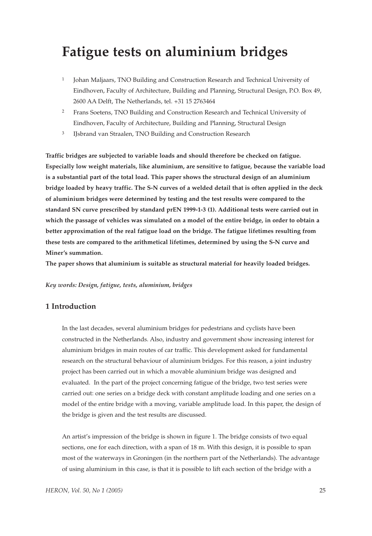# **Fatigue tests on aluminium bridges**

- <sup>1</sup> Johan Maljaars, TNO Building and Construction Research and Technical University of Eindhoven, Faculty of Architecture, Building and Planning, Structural Design, P.O. Box 49, 2600 AA Delft, The Netherlands, tel. +31 15 2763464
- <sup>2</sup> Frans Soetens, TNO Building and Construction Research and Technical University of Eindhoven, Faculty of Architecture, Building and Planning, Structural Design
- <sup>3</sup> IJsbrand van Straalen, TNO Building and Construction Research

**Traffic bridges are subjected to variable loads and should therefore be checked on fatigue. Especially low weight materials, like aluminium, are sensitive to fatigue, because the variable load is a substantial part of the total load. This paper shows the structural design of an aluminium bridge loaded by heavy traffic. The S-N curves of a welded detail that is often applied in the deck of aluminium bridges were determined by testing and the test results were compared to the standard SN curve prescribed by standard prEN 1999-1-3 (1). Additional tests were carried out in which the passage of vehicles was simulated on a model of the entire bridge, in order to obtain a better approximation of the real fatigue load on the bridge. The fatigue lifetimes resulting from these tests are compared to the arithmetical lifetimes, determined by using the S-N curve and Miner's summation.**

**The paper shows that aluminium is suitable as structural material for heavily loaded bridges.**

#### *Key words: Design, fatigue, tests, aluminium, bridges*

#### **1 Introduction**

In the last decades, several aluminium bridges for pedestrians and cyclists have been constructed in the Netherlands. Also, industry and government show increasing interest for aluminium bridges in main routes of car traffic. This development asked for fundamental research on the structural behaviour of aluminium bridges. For this reason, a joint industry project has been carried out in which a movable aluminium bridge was designed and evaluated. In the part of the project concerning fatigue of the bridge, two test series were carried out: one series on a bridge deck with constant amplitude loading and one series on a model of the entire bridge with a moving, variable amplitude load. In this paper, the design of the bridge is given and the test results are discussed.

An artist's impression of the bridge is shown in figure 1. The bridge consists of two equal sections, one for each direction, with a span of 18 m. With this design, it is possible to span most of the waterways in Groningen (in the northern part of the Netherlands). The advantage of using aluminium in this case, is that it is possible to lift each section of the bridge with a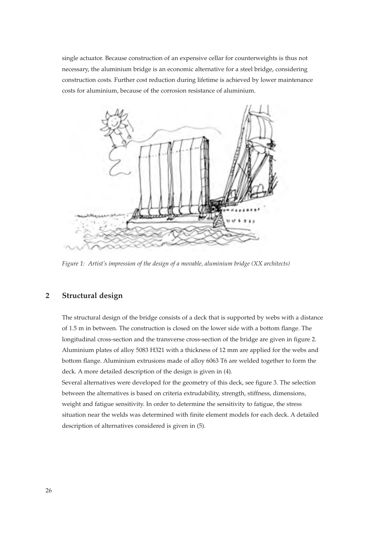single actuator. Because construction of an expensive cellar for counterweights is thus not necessary, the aluminium bridge is an economic alternative for a steel bridge, considering construction costs. Further cost reduction during lifetime is achieved by lower maintenance costs for aluminium, because of the corrosion resistance of aluminium.



*Figure 1: Artist's impression of the design of a movable, aluminium bridge (XX architects)*

### **2 Structural design**

The structural design of the bridge consists of a deck that is supported by webs with a distance of 1.5 m in between. The construction is closed on the lower side with a bottom flange. The longitudinal cross-section and the transverse cross-section of the bridge are given in figure 2. Aluminium plates of alloy 5083 H321 with a thickness of 12 mm are applied for the webs and bottom flange. Aluminium extrusions made of alloy 6063 T6 are welded together to form the deck. A more detailed description of the design is given in (4).

Several alternatives were developed for the geometry of this deck, see figure 3. The selection between the alternatives is based on criteria extrudability, strength, stiffness, dimensions, weight and fatigue sensitivity. In order to determine the sensitivity to fatigue, the stress situation near the welds was determined with finite element models for each deck. A detailed description of alternatives considered is given in (5).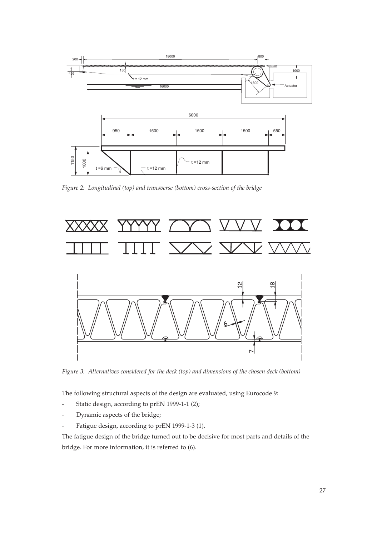

*Figure 2: Longitudinal (top) and transverse (bottom) cross-section of the bridge*



*Figure 3: Alternatives considered for the deck (top) and dimensions of the chosen deck (bottom)*

The following structural aspects of the design are evaluated, using Eurocode 9:

- Static design, according to prEN 1999-1-1 (2);
- Dynamic aspects of the bridge;
- Fatigue design, according to prEN 1999-1-3 (1).

The fatigue design of the bridge turned out to be decisive for most parts and details of the bridge. For more information, it is referred to (6).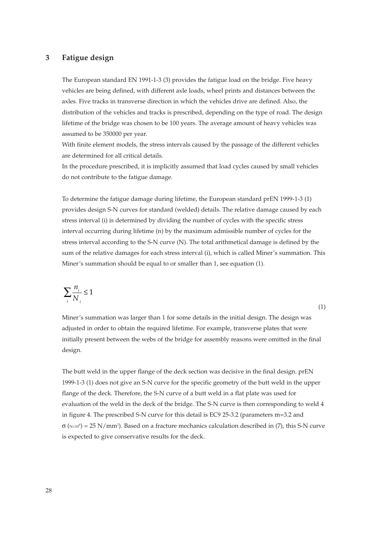#### **3 Fatigue design**

The European standard EN 1991-1-3 (3) provides the fatigue load on the bridge. Five heavy vehicles are being defined, with different axle loads, wheel prints and distances between the axles. Five tracks in transverse direction in which the vehicles drive are defined. Also, the distribution of the vehicles and tracks is prescribed, depending on the type of road. The design lifetime of the bridge was chosen to be 100 years. The average amount of heavy vehicles was assumed to be 350000 per year.

With finite element models, the stress intervals caused by the passage of the different vehicles are determined for all critical details.

In the procedure prescribed, it is implicitly assumed that load cycles caused by small vehicles do not contribute to the fatigue damage.

To determine the fatigue damage during lifetime, the European standard prEN 1999-1-3 (1) provides design S-N curves for standard (welded) details. The relative damage caused by each stress interval (i) is determined by dividing the number of cycles with the specific stress interval occurring during lifetime (n) by the maximum admissible number of cycles for the stress interval according to the S-N curve (N). The total arithmetical damage is defined by the sum of the relative damages for each stress interval (i), which is called Miner's summation. This Miner's summation should be equal to or smaller than 1, see equation (1).

$$
\sum_i \frac{n_i}{N_i} \le 1
$$

Miner's summation was larger than 1 for some details in the initial design. The design was adjusted in order to obtain the required lifetime. For example, transverse plates that were initially present between the webs of the bridge for assembly reasons were omitted in the final design.

(1)

The butt weld in the upper flange of the deck section was decisive in the final design. prEN 1999-1-3 (1) does not give an S-N curve for the specific geometry of the butt weld in the upper flange of the deck. Therefore, the S-N curve of a butt weld in a flat plate was used for evaluation of the weld in the deck of the bridge. The S-N curve is then corresponding to weld 4 in figure 4. The prescribed S-N curve for this detail is EC9 25-3.2 (parameters m=3.2 and  $\sigma$  ( $N=10^6$ ) = 25 N/mm<sup>2</sup>). Based on a fracture mechanics calculation described in (7), this S-N curve is expected to give conservative results for the deck.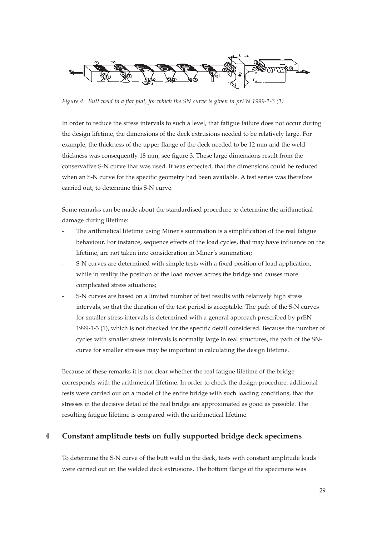

*Figure 4: Butt weld in a flat plat, for which the SN curve is given in prEN 1999-1-3 (1)*

In order to reduce the stress intervals to such a level, that fatigue failure does not occur during the design lifetime, the dimensions of the deck extrusions needed to be relatively large. For example, the thickness of the upper flange of the deck needed to be 12 mm and the weld thickness was consequently 18 mm, see figure 3. These large dimensions result from the conservative S-N curve that was used. It was expected, that the dimensions could be reduced when an S-N curve for the specific geometry had been available. A test series was therefore carried out, to determine this S-N curve.

Some remarks can be made about the standardised procedure to determine the arithmetical damage during lifetime:

- The arithmetical lifetime using Miner's summation is a simplification of the real fatigue behaviour. For instance, sequence effects of the load cycles, that may have influence on the lifetime, are not taken into consideration in Miner's summation;
- S-N curves are determined with simple tests with a fixed position of load application, while in reality the position of the load moves across the bridge and causes more complicated stress situations;
- S-N curves are based on a limited number of test results with relatively high stress intervals, so that the duration of the test period is acceptable. The path of the S-N curves for smaller stress intervals is determined with a general approach prescribed by prEN 1999-1-3 (1), which is not checked for the specific detail considered. Because the number of cycles with smaller stress intervals is normally large in real structures, the path of the SNcurve for smaller stresses may be important in calculating the design lifetime.

Because of these remarks it is not clear whether the real fatigue lifetime of the bridge corresponds with the arithmetical lifetime. In order to check the design procedure, additional tests were carried out on a model of the entire bridge with such loading conditions, that the stresses in the decisive detail of the real bridge are approximated as good as possible. The resulting fatigue lifetime is compared with the arithmetical lifetime.

#### **4 Constant amplitude tests on fully supported bridge deck specimens**

To determine the S-N curve of the butt weld in the deck, tests with constant amplitude loads were carried out on the welded deck extrusions. The bottom flange of the specimens was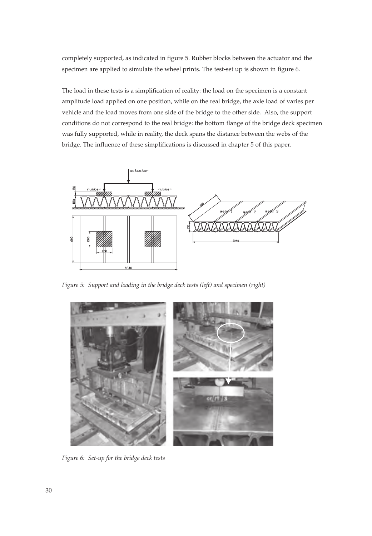completely supported, as indicated in figure 5. Rubber blocks between the actuator and the specimen are applied to simulate the wheel prints. The test-set up is shown in figure 6.

The load in these tests is a simplification of reality: the load on the specimen is a constant amplitude load applied on one position, while on the real bridge, the axle load of varies per vehicle and the load moves from one side of the bridge to the other side. Also, the support conditions do not correspond to the real bridge: the bottom flange of the bridge deck specimen was fully supported, while in reality, the deck spans the distance between the webs of the bridge. The influence of these simplifications is discussed in chapter 5 of this paper.



*Figure 5: Support and loading in the bridge deck tests (left) and specimen (right)*



*Figure 6: Set-up for the bridge deck tests*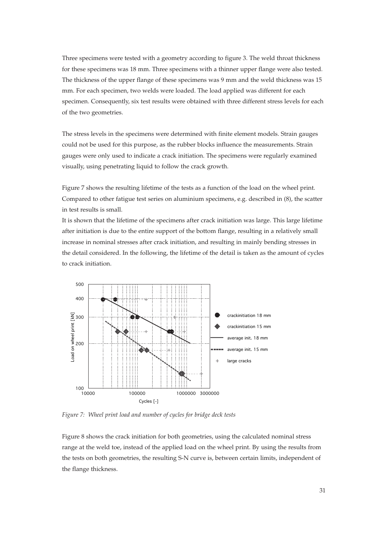Three specimens were tested with a geometry according to figure 3. The weld throat thickness for these specimens was 18 mm. Three specimens with a thinner upper flange were also tested. The thickness of the upper flange of these specimens was 9 mm and the weld thickness was 15 mm. For each specimen, two welds were loaded. The load applied was different for each specimen. Consequently, six test results were obtained with three different stress levels for each of the two geometries.

The stress levels in the specimens were determined with finite element models. Strain gauges could not be used for this purpose, as the rubber blocks influence the measurements. Strain gauges were only used to indicate a crack initiation. The specimens were regularly examined visually, using penetrating liquid to follow the crack growth.

Figure 7 shows the resulting lifetime of the tests as a function of the load on the wheel print. Compared to other fatigue test series on aluminium specimens, e.g. described in (8), the scatter in test results is small.

It is shown that the lifetime of the specimens after crack initiation was large. This large lifetime after initiation is due to the entire support of the bottom flange, resulting in a relatively small increase in nominal stresses after crack initiation, and resulting in mainly bending stresses in the detail considered. In the following, the lifetime of the detail is taken as the amount of cycles to crack initiation.



*Figure 7: Wheel print load and number of cycles for bridge deck tests*

Figure 8 shows the crack initiation for both geometries, using the calculated nominal stress range at the weld toe, instead of the applied load on the wheel print. By using the results from the tests on both geometries, the resulting S-N curve is, between certain limits, independent of the flange thickness.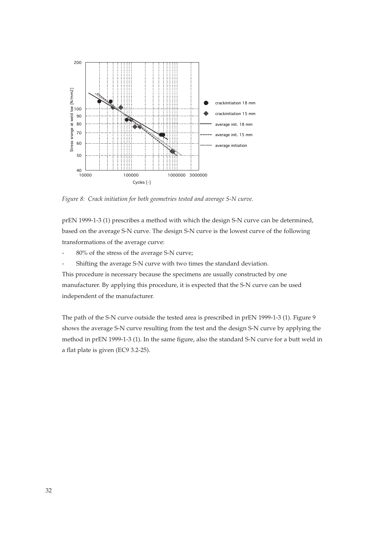

*Figure 8: Crack initiation for both geometries tested and average S-N curve.*

prEN 1999-1-3 (1) prescribes a method with which the design S-N curve can be determined, based on the average S-N curve. The design S-N curve is the lowest curve of the following transformations of the average curve:

- 80% of the stress of the average S-N curve;
- Shifting the average S-N curve with two times the standard deviation.

This procedure is necessary because the specimens are usually constructed by one manufacturer. By applying this procedure, it is expected that the S-N curve can be used independent of the manufacturer.

The path of the S-N curve outside the tested area is prescribed in prEN 1999-1-3 (1). Figure 9 shows the average S-N curve resulting from the test and the design S-N curve by applying the method in prEN 1999-1-3 (1). In the same figure, also the standard S-N curve for a butt weld in a flat plate is given (EC9 3.2-25).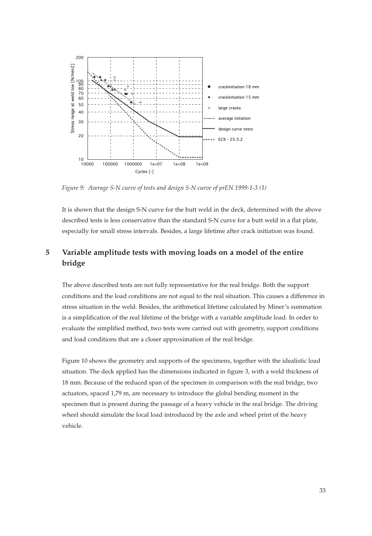

*Figure 9: Average S-N curve of tests and design S-N curve of prEN 1999-1-3 (1)*

It is shown that the design S-N curve for the butt weld in the deck, determined with the above described tests is less conservative than the standard S-N curve for a butt weld in a flat plate, especially for small stress intervals. Besides, a large lifetime after crack initiation was found.

## **5 Variable amplitude tests with moving loads on a model of the entire bridge**

The above described tests are not fully representative for the real bridge. Both the support conditions and the load conditions are not equal to the real situation. This causes a difference in stress situation in the weld. Besides, the arithmetical lifetime calculated by Miner's summation is a simplification of the real lifetime of the bridge with a variable amplitude load. In order to evaluate the simplified method, two tests were carried out with geometry, support conditions and load conditions that are a closer approximation of the real bridge.

Figure 10 shows the geometry and supports of the specimens, together with the idealistic load situation. The deck applied has the dimensions indicated in figure 3, with a weld thickness of 18 mm. Because of the reduced span of the specimen in comparison with the real bridge, two actuators, spaced 1,79 m, are necessary to introduce the global bending moment in the specimen that is present during the passage of a heavy vehicle in the real bridge. The driving wheel should simulate the local load introduced by the axle and wheel print of the heavy vehicle.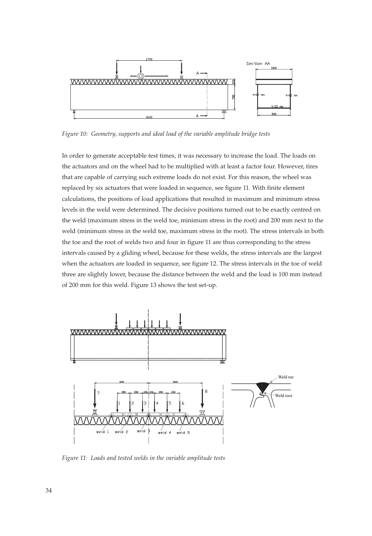

*Figure 10: Geometry, supports and ideal load of the variable amplitude bridge tests*

In order to generate acceptable test times, it was necessary to increase the load. The loads on the actuators and on the wheel had to be multiplied with at least a factor four. However, tires that are capable of carrying such extreme loads do not exist. For this reason, the wheel was replaced by six actuators that were loaded in sequence, see figure 11. With finite element calculations, the positions of load applications that resulted in maximum and minimum stress levels in the weld were determined. The decisive positions turned out to be exactly centred on the weld (maximum stress in the weld toe, minimum stress in the root) and 200 mm next to the weld (minimum stress in the weld toe, maximum stress in the root). The stress intervals in both the toe and the root of welds two and four in figure 11 are thus corresponding to the stress intervals caused by a gliding wheel, because for these welds, the stress intervals are the largest when the actuators are loaded in sequence, see figure 12. The stress intervals in the toe of weld three are slightly lower, because the distance between the weld and the load is 100 mm instead of 200 mm for this weld. Figure 13 shows the test set-up.



*Figure 11: Loads and tested welds in the variable amplitude tests*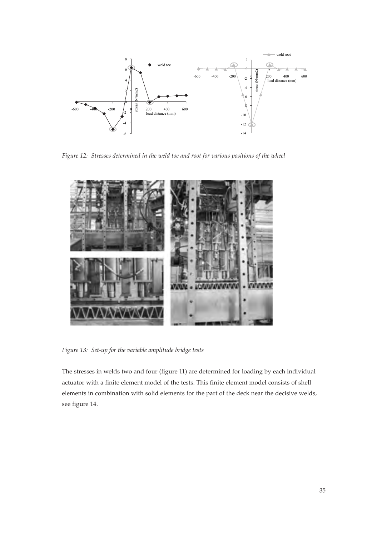

*Figure 12: Stresses determined in the weld toe and root for various positions of the wheel*



*Figure 13: Set-up for the variable amplitude bridge tests*

The stresses in welds two and four (figure 11) are determined for loading by each individual actuator with a finite element model of the tests. This finite element model consists of shell elements in combination with solid elements for the part of the deck near the decisive welds, see figure 14.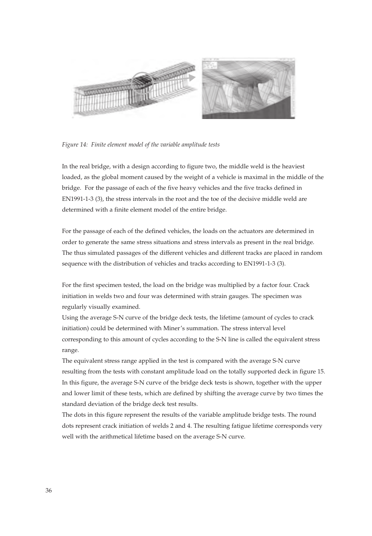

*Figure 14: Finite element model of the variable amplitude tests*

In the real bridge, with a design according to figure two, the middle weld is the heaviest loaded, as the global moment caused by the weight of a vehicle is maximal in the middle of the bridge. For the passage of each of the five heavy vehicles and the five tracks defined in EN1991-1-3 (3), the stress intervals in the root and the toe of the decisive middle weld are determined with a finite element model of the entire bridge.

For the passage of each of the defined vehicles, the loads on the actuators are determined in order to generate the same stress situations and stress intervals as present in the real bridge. The thus simulated passages of the different vehicles and different tracks are placed in random sequence with the distribution of vehicles and tracks according to EN1991-1-3 (3).

For the first specimen tested, the load on the bridge was multiplied by a factor four. Crack initiation in welds two and four was determined with strain gauges. The specimen was regularly visually examined.

Using the average S-N curve of the bridge deck tests, the lifetime (amount of cycles to crack initiation) could be determined with Miner's summation. The stress interval level corresponding to this amount of cycles according to the S-N line is called the equivalent stress range.

The equivalent stress range applied in the test is compared with the average S-N curve resulting from the tests with constant amplitude load on the totally supported deck in figure 15. In this figure, the average S-N curve of the bridge deck tests is shown, together with the upper and lower limit of these tests, which are defined by shifting the average curve by two times the standard deviation of the bridge deck test results.

The dots in this figure represent the results of the variable amplitude bridge tests. The round dots represent crack initiation of welds 2 and 4. The resulting fatigue lifetime corresponds very well with the arithmetical lifetime based on the average S-N curve.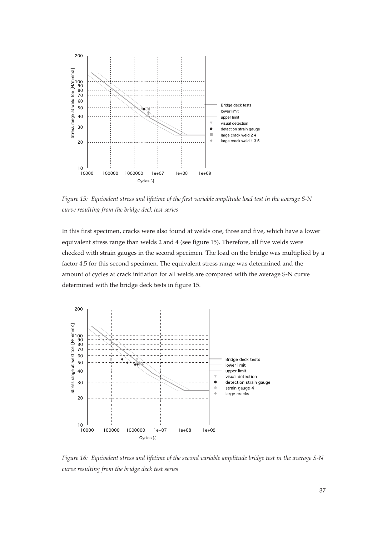

*Figure 15: Equivalent stress and lifetime of the first variable amplitude load test in the average S-N curve resulting from the bridge deck test series*

In this first specimen, cracks were also found at welds one, three and five, which have a lower equivalent stress range than welds 2 and 4 (see figure 15). Therefore, all five welds were checked with strain gauges in the second specimen. The load on the bridge was multiplied by a factor 4.5 for this second specimen. The equivalent stress range was determined and the amount of cycles at crack initiation for all welds are compared with the average S-N curve determined with the bridge deck tests in figure 15.



*Figure 16: Equivalent stress and lifetime of the second variable amplitude bridge test in the average S-N curve resulting from the bridge deck test series*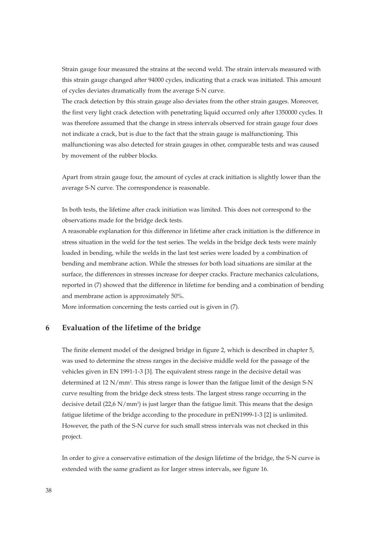Strain gauge four measured the strains at the second weld. The strain intervals measured with this strain gauge changed after 94000 cycles, indicating that a crack was initiated. This amount of cycles deviates dramatically from the average S-N curve.

The crack detection by this strain gauge also deviates from the other strain gauges. Moreover, the first very light crack detection with penetrating liquid occurred only after 1350000 cycles. It was therefore assumed that the change in stress intervals observed for strain gauge four does not indicate a crack, but is due to the fact that the strain gauge is malfunctioning. This malfunctioning was also detected for strain gauges in other, comparable tests and was caused by movement of the rubber blocks.

Apart from strain gauge four, the amount of cycles at crack initiation is slightly lower than the average S-N curve. The correspondence is reasonable.

In both tests, the lifetime after crack initiation was limited. This does not correspond to the observations made for the bridge deck tests.

A reasonable explanation for this difference in lifetime after crack initiation is the difference in stress situation in the weld for the test series. The welds in the bridge deck tests were mainly loaded in bending, while the welds in the last test series were loaded by a combination of bending and membrane action. While the stresses for both load situations are similar at the surface, the differences in stresses increase for deeper cracks. Fracture mechanics calculations, reported in (7) showed that the difference in lifetime for bending and a combination of bending and membrane action is approximately 50%.

More information concerning the tests carried out is given in (7).

#### **6 Evaluation of the lifetime of the bridge**

The finite element model of the designed bridge in figure 2, which is described in chapter 5, was used to determine the stress ranges in the decisive middle weld for the passage of the vehicles given in EN 1991-1-3 [3]. The equivalent stress range in the decisive detail was determined at 12 N/mm2 . This stress range is lower than the fatigue limit of the design S-N curve resulting from the bridge deck stress tests. The largest stress range occurring in the decisive detail (22,6 N/mm2 ) is just larger than the fatigue limit. This means that the design fatigue lifetime of the bridge according to the procedure in prEN1999-1-3 [2] is unlimited. However, the path of the S-N curve for such small stress intervals was not checked in this project.

In order to give a conservative estimation of the design lifetime of the bridge, the S-N curve is extended with the same gradient as for larger stress intervals, see figure 16.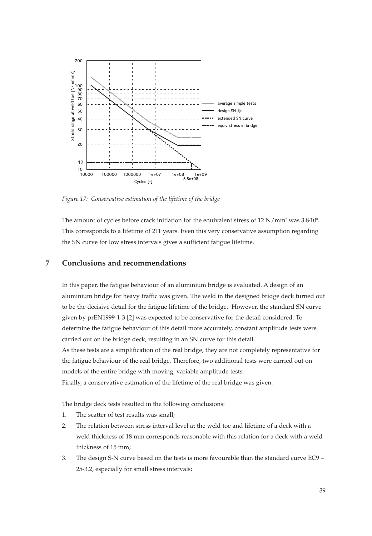

*Figure 17: Conservative estimation of the lifetime of the bridge*

The amount of cycles before crack initiation for the equivalent stress of  $12 \text{ N/mm}^2$  was  $3.8 \cdot 10^8$ . This corresponds to a lifetime of 211 years. Even this very conservative assumption regarding the SN curve for low stress intervals gives a sufficient fatigue lifetime.

#### **7 Conclusions and recommendations**

In this paper, the fatigue behaviour of an aluminium bridge is evaluated. A design of an aluminium bridge for heavy traffic was given. The weld in the designed bridge deck turned out to be the decisive detail for the fatigue lifetime of the bridge. However, the standard SN curve given by prEN1999-1-3 [2] was expected to be conservative for the detail considered. To determine the fatigue behaviour of this detail more accurately, constant amplitude tests were carried out on the bridge deck, resulting in an SN curve for this detail. As these tests are a simplification of the real bridge, they are not completely representative for the fatigue behaviour of the real bridge. Therefore, two additional tests were carried out on models of the entire bridge with moving, variable amplitude tests. Finally, a conservative estimation of the lifetime of the real bridge was given.

The bridge deck tests resulted in the following conclusions:

- 1. The scatter of test results was small;
- 2. The relation between stress interval level at the weld toe and lifetime of a deck with a weld thickness of 18 mm corresponds reasonable with this relation for a deck with a weld thickness of 15 mm;
- 3. The design S-N curve based on the tests is more favourable than the standard curve EC9 25-3.2, especially for small stress intervals;